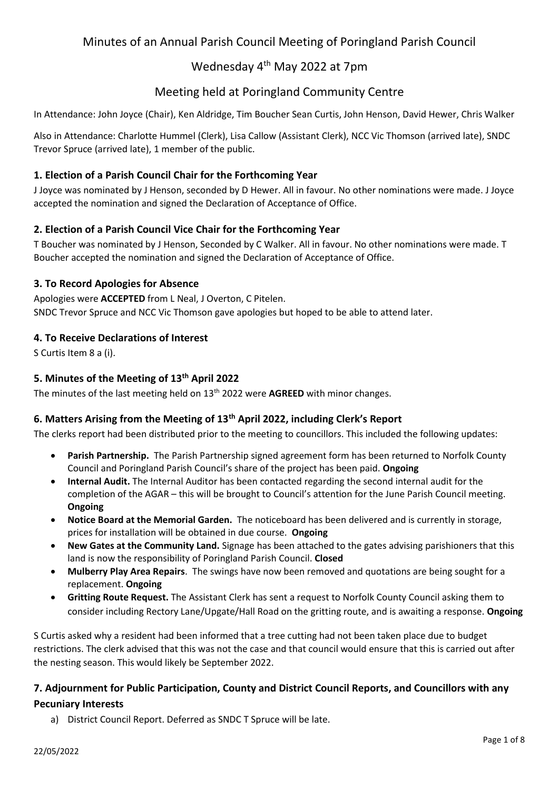# Minutes of an Annual Parish Council Meeting of Poringland Parish Council

# Wednesday 4th May 2022 at 7pm

# Meeting held at Poringland Community Centre

In Attendance: John Joyce (Chair), Ken Aldridge, Tim Boucher Sean Curtis, John Henson, David Hewer, Chris Walker

Also in Attendance: Charlotte Hummel (Clerk), Lisa Callow (Assistant Clerk), NCC Vic Thomson (arrived late), SNDC Trevor Spruce (arrived late), 1 member of the public.

### **1. Election of a Parish Council Chair for the Forthcoming Year**

J Joyce was nominated by J Henson, seconded by D Hewer. All in favour. No other nominations were made. J Joyce accepted the nomination and signed the Declaration of Acceptance of Office.

### **2. Election of a Parish Council Vice Chair for the Forthcoming Year**

T Boucher was nominated by J Henson, Seconded by C Walker. All in favour. No other nominations were made. T Boucher accepted the nomination and signed the Declaration of Acceptance of Office.

#### **3. To Record Apologies for Absence**

Apologies were **ACCEPTED** from L Neal, J Overton, C Pitelen. SNDC Trevor Spruce and NCC Vic Thomson gave apologies but hoped to be able to attend later.

### **4. To Receive Declarations of Interest**

S Curtis Item 8 a (i).

### **5. Minutes of the Meeting of 13th April 2022**

The minutes of the last meeting held on 13<sup>th</sup> 2022 were **AGREED** with minor changes.

#### **6. Matters Arising from the Meeting of 13th April 2022, including Clerk's Report**

The clerks report had been distributed prior to the meeting to councillors. This included the following updates:

- **Parish Partnership.** The Parish Partnership signed agreement form has been returned to Norfolk County Council and Poringland Parish Council's share of the project has been paid. **Ongoing**
- **Internal Audit.** The Internal Auditor has been contacted regarding the second internal audit for the completion of the AGAR – this will be brought to Council's attention for the June Parish Council meeting. **Ongoing**
- **Notice Board at the Memorial Garden.** The noticeboard has been delivered and is currently in storage, prices for installation will be obtained in due course. **Ongoing**
- **New Gates at the Community Land.** Signage has been attached to the gates advising parishioners that this land is now the responsibility of Poringland Parish Council. **Closed**
- **Mulberry Play Area Repairs**. The swings have now been removed and quotations are being sought for a replacement. **Ongoing**
- **Gritting Route Request.** The Assistant Clerk has sent a request to Norfolk County Council asking them to consider including Rectory Lane/Upgate/Hall Road on the gritting route, and is awaiting a response. **Ongoing**

S Curtis asked why a resident had been informed that a tree cutting had not been taken place due to budget restrictions. The clerk advised that this was not the case and that council would ensure that this is carried out after the nesting season. This would likely be September 2022.

### **7. Adjournment for Public Participation, County and District Council Reports, and Councillors with any Pecuniary Interests**

a) District Council Report. Deferred as SNDC T Spruce will be late.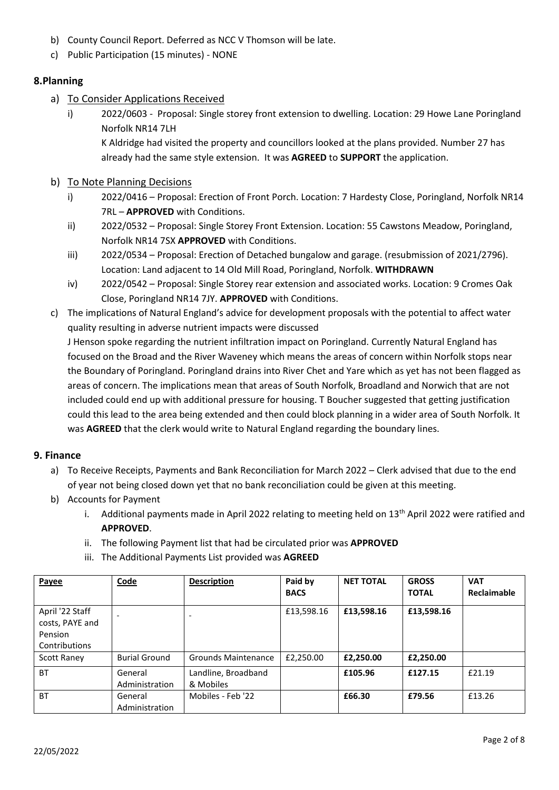- b) County Council Report. Deferred as NCC V Thomson will be late.
- c) Public Participation (15 minutes) NONE

### **8.Planning**

- a) To Consider Applications Received
	- i) 2022/0603 Proposal: Single storey front extension to dwelling. Location: 29 Howe Lane Poringland Norfolk NR14 7LH

K Aldridge had visited the property and councillors looked at the plans provided. Number 27 has already had the same style extension. It was **AGREED** to **SUPPORT** the application.

- b) To Note Planning Decisions
	- i) 2022/0416 Proposal: Erection of Front Porch. Location: 7 Hardesty Close, Poringland, Norfolk NR14 7RL – **APPROVED** with Conditions.
	- ii) 2022/0532 Proposal: Single Storey Front Extension. Location: 55 Cawstons Meadow, Poringland, Norfolk NR14 7SX **APPROVED** with Conditions.
	- iii) 2022/0534 Proposal: Erection of Detached bungalow and garage. (resubmission of 2021/2796). Location: Land adjacent to 14 Old Mill Road, Poringland, Norfolk. **WITHDRAWN**
	- iv) 2022/0542 Proposal: Single Storey rear extension and associated works. Location: 9 Cromes Oak Close, Poringland NR14 7JY. **APPROVED** with Conditions.
- c) The implications of Natural England's advice for development proposals with the potential to affect water quality resulting in adverse nutrient impacts were discussed

J Henson spoke regarding the nutrient infiltration impact on Poringland. Currently Natural England has focused on the Broad and the River Waveney which means the areas of concern within Norfolk stops near the Boundary of Poringland. Poringland drains into River Chet and Yare which as yet has not been flagged as areas of concern. The implications mean that areas of South Norfolk, Broadland and Norwich that are not included could end up with additional pressure for housing. T Boucher suggested that getting justification could this lead to the area being extended and then could block planning in a wider area of South Norfolk. It was **AGREED** that the clerk would write to Natural England regarding the boundary lines.

#### **9. Finance**

- a) To Receive Receipts, Payments and Bank Reconciliation for March 2022 Clerk advised that due to the end of year not being closed down yet that no bank reconciliation could be given at this meeting.
- b) Accounts for Payment
	- i. Additional payments made in April 2022 relating to meeting held on  $13<sup>th</sup>$  April 2022 were ratified and **APPROVED**.
	- ii. The following Payment list that had be circulated prior was **APPROVED**
	- iii. The Additional Payments List provided was **AGREED**

| Payee                                                          | Code                      | <b>Description</b>               | Paid by     | <b>NET TOTAL</b> | <b>GROSS</b> | <b>VAT</b>  |
|----------------------------------------------------------------|---------------------------|----------------------------------|-------------|------------------|--------------|-------------|
|                                                                |                           |                                  | <b>BACS</b> |                  | <b>TOTAL</b> | Reclaimable |
| April '22 Staff<br>costs, PAYE and<br>Pension<br>Contributions |                           |                                  | £13,598.16  | £13,598.16       | £13,598.16   |             |
| <b>Scott Raney</b>                                             | <b>Burial Ground</b>      | <b>Grounds Maintenance</b>       | £2,250.00   | £2,250.00        | £2,250.00    |             |
| <b>BT</b>                                                      | General<br>Administration | Landline, Broadband<br>& Mobiles |             | £105.96          | £127.15      | £21.19      |
| <b>BT</b>                                                      | General<br>Administration | Mobiles - Feb '22                |             | £66.30           | £79.56       | £13.26      |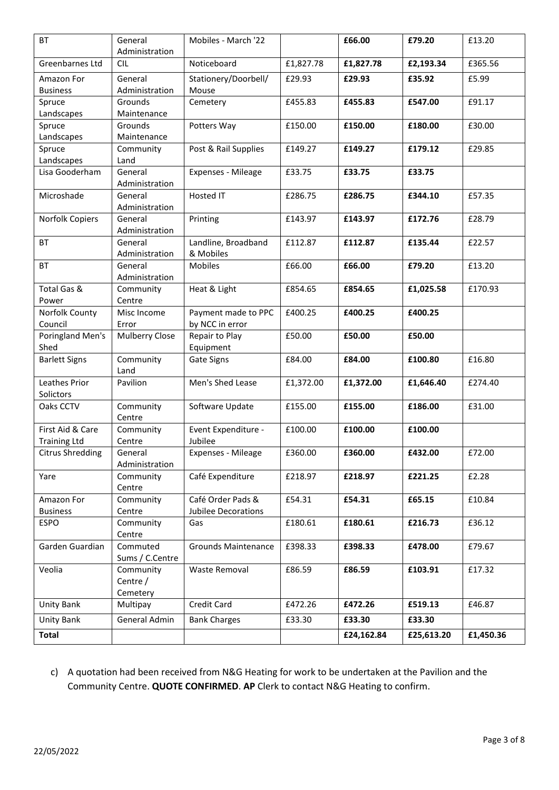| BT                             | General<br>Administration | Mobiles - March '22                             |           | £66.00     | £79.20     | £13.20    |
|--------------------------------|---------------------------|-------------------------------------------------|-----------|------------|------------|-----------|
| Greenbarnes Ltd                | <b>CIL</b>                | Noticeboard                                     | £1,827.78 | £1,827.78  | £2,193.34  | £365.56   |
| Amazon For                     | General                   | Stationery/Doorbell/                            | £29.93    | £29.93     | £35.92     | £5.99     |
| <b>Business</b>                | Administration            | Mouse                                           |           |            |            |           |
| Spruce                         | Grounds                   | Cemetery                                        | £455.83   | £455.83    | £547.00    | £91.17    |
| Landscapes                     | Maintenance               |                                                 |           |            |            |           |
| Spruce                         | Grounds                   | Potters Way                                     | £150.00   | £150.00    | £180.00    | £30.00    |
| Landscapes                     | Maintenance               |                                                 |           |            |            |           |
| Spruce                         | Community<br>Land         | Post & Rail Supplies                            | £149.27   | £149.27    | £179.12    | £29.85    |
| Landscapes<br>Lisa Gooderham   | General                   | Expenses - Mileage                              | £33.75    | £33.75     | £33.75     |           |
|                                | Administration            |                                                 |           |            |            |           |
| Microshade                     | General                   | Hosted IT                                       | £286.75   | £286.75    | £344.10    | £57.35    |
|                                | Administration            |                                                 |           |            |            |           |
| Norfolk Copiers                | General                   | Printing                                        | £143.97   | £143.97    | £172.76    | £28.79    |
|                                | Administration            |                                                 |           |            |            |           |
| BT                             | General                   | Landline, Broadband                             | £112.87   | £112.87    | £135.44    | £22.57    |
|                                | Administration            | & Mobiles                                       |           |            |            |           |
| <b>BT</b>                      | General                   | Mobiles                                         | £66.00    | £66.00     | £79.20     | £13.20    |
|                                | Administration            |                                                 |           |            |            |           |
| Total Gas &                    | Community                 | Heat & Light                                    | £854.65   | £854.65    | £1,025.58  | £170.93   |
| Power                          | Centre                    |                                                 |           |            |            |           |
| Norfolk County                 | Misc Income               | Payment made to PPC                             | £400.25   | £400.25    | £400.25    |           |
| Council                        | Error                     | by NCC in error                                 |           |            |            |           |
| Poringland Men's<br>Shed       | Mulberry Close            | Repair to Play<br>Equipment                     | £50.00    | £50.00     | £50.00     |           |
| <b>Barlett Signs</b>           | Community                 | Gate Signs                                      | £84.00    | £84.00     | £100.80    | £16.80    |
|                                | Land                      |                                                 |           |            |            |           |
| Leathes Prior                  | Pavilion                  | Men's Shed Lease                                | £1,372.00 | £1,372.00  | £1,646.40  | £274.40   |
| Solictors                      |                           |                                                 |           |            |            |           |
| Oaks CCTV                      | Community                 | Software Update                                 | £155.00   | £155.00    | £186.00    | £31.00    |
|                                | Centre                    |                                                 |           |            |            |           |
| First Aid & Care               | Community                 | Event Expenditure -                             | £100.00   | £100.00    | £100.00    |           |
| <b>Training Ltd</b>            | Centre                    | Jubilee                                         |           |            |            |           |
| Citrus Shredding               | General                   | Expenses - Mileage                              | £360.00   | £360.00    | £432.00    | £72.00    |
|                                | Administration            |                                                 |           |            |            |           |
| Yare                           | Community                 | Café Expenditure                                | £218.97   | £218.97    | £221.25    | £2.28     |
|                                | Centre                    |                                                 |           |            |            |           |
| Amazon For                     | Community<br>Centre       | Café Order Pads &<br><b>Jubilee Decorations</b> | £54.31    | £54.31     | £65.15     | £10.84    |
| <b>Business</b><br><b>ESPO</b> | Community                 | Gas                                             | £180.61   | £180.61    | £216.73    | £36.12    |
|                                | Centre                    |                                                 |           |            |            |           |
| Garden Guardian                | Commuted                  | <b>Grounds Maintenance</b>                      | £398.33   | £398.33    | £478.00    | £79.67    |
|                                | Sums / C.Centre           |                                                 |           |            |            |           |
| Veolia                         | Community                 | Waste Removal                                   | £86.59    | £86.59     | £103.91    | £17.32    |
|                                | Centre /                  |                                                 |           |            |            |           |
|                                | Cemetery                  |                                                 |           |            |            |           |
| <b>Unity Bank</b>              | Multipay                  | Credit Card                                     | £472.26   | £472.26    | £519.13    | £46.87    |
| <b>Unity Bank</b>              | General Admin             | <b>Bank Charges</b>                             | £33.30    | £33.30     | £33.30     |           |
| <b>Total</b>                   |                           |                                                 |           | £24,162.84 | £25,613.20 | £1,450.36 |

# c) A quotation had been received from N&G Heating for work to be undertaken at the Pavilion and the Community Centre. **QUOTE CONFIRMED**. **AP** Clerk to contact N&G Heating to confirm.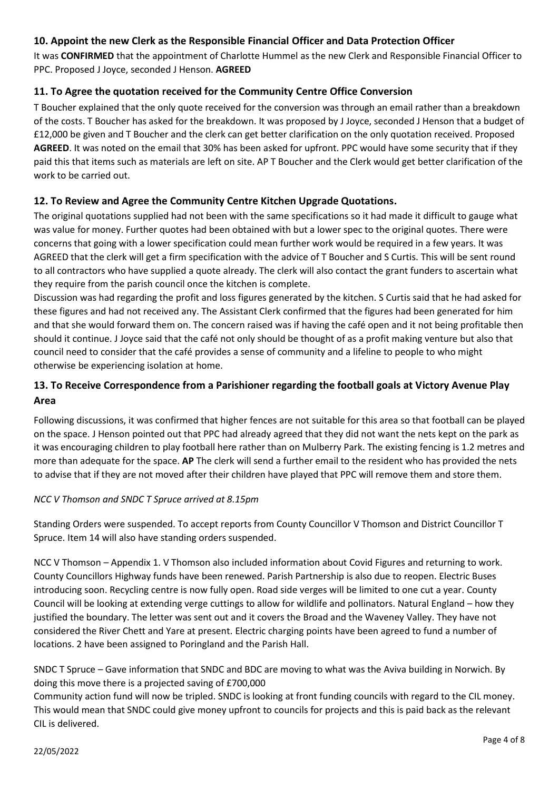### **10. Appoint the new Clerk as the Responsible Financial Officer and Data Protection Officer**

It was **CONFIRMED** that the appointment of Charlotte Hummel as the new Clerk and Responsible Financial Officer to PPC. Proposed J Joyce, seconded J Henson. **AGREED**

### **11. To Agree the quotation received for the Community Centre Office Conversion**

T Boucher explained that the only quote received for the conversion was through an email rather than a breakdown of the costs. T Boucher has asked for the breakdown. It was proposed by J Joyce, seconded J Henson that a budget of £12,000 be given and T Boucher and the clerk can get better clarification on the only quotation received. Proposed **AGREED**. It was noted on the email that 30% has been asked for upfront. PPC would have some security that if they paid this that items such as materials are left on site. AP T Boucher and the Clerk would get better clarification of the work to be carried out.

#### **12. To Review and Agree the Community Centre Kitchen Upgrade Quotations.**

The original quotations supplied had not been with the same specifications so it had made it difficult to gauge what was value for money. Further quotes had been obtained with but a lower spec to the original quotes. There were concerns that going with a lower specification could mean further work would be required in a few years. It was AGREED that the clerk will get a firm specification with the advice of T Boucher and S Curtis. This will be sent round to all contractors who have supplied a quote already. The clerk will also contact the grant funders to ascertain what they require from the parish council once the kitchen is complete.

Discussion was had regarding the profit and loss figures generated by the kitchen. S Curtis said that he had asked for these figures and had not received any. The Assistant Clerk confirmed that the figures had been generated for him and that she would forward them on. The concern raised was if having the café open and it not being profitable then should it continue. J Joyce said that the café not only should be thought of as a profit making venture but also that council need to consider that the café provides a sense of community and a lifeline to people to who might otherwise be experiencing isolation at home.

## **13. To Receive Correspondence from a Parishioner regarding the football goals at Victory Avenue Play Area**

Following discussions, it was confirmed that higher fences are not suitable for this area so that football can be played on the space. J Henson pointed out that PPC had already agreed that they did not want the nets kept on the park as it was encouraging children to play football here rather than on Mulberry Park. The existing fencing is 1.2 metres and more than adequate for the space. **AP** The clerk will send a further email to the resident who has provided the nets to advise that if they are not moved after their children have played that PPC will remove them and store them.

#### *NCC V Thomson and SNDC T Spruce arrived at 8.15pm*

Standing Orders were suspended. To accept reports from County Councillor V Thomson and District Councillor T Spruce. Item 14 will also have standing orders suspended.

NCC V Thomson – Appendix 1. V Thomson also included information about Covid Figures and returning to work. County Councillors Highway funds have been renewed. Parish Partnership is also due to reopen. Electric Buses introducing soon. Recycling centre is now fully open. Road side verges will be limited to one cut a year. County Council will be looking at extending verge cuttings to allow for wildlife and pollinators. Natural England – how they justified the boundary. The letter was sent out and it covers the Broad and the Waveney Valley. They have not considered the River Chett and Yare at present. Electric charging points have been agreed to fund a number of locations. 2 have been assigned to Poringland and the Parish Hall.

### SNDC T Spruce – Gave information that SNDC and BDC are moving to what was the Aviva building in Norwich. By doing this move there is a projected saving of £700,000

Community action fund will now be tripled. SNDC is looking at front funding councils with regard to the CIL money. This would mean that SNDC could give money upfront to councils for projects and this is paid back as the relevant CIL is delivered.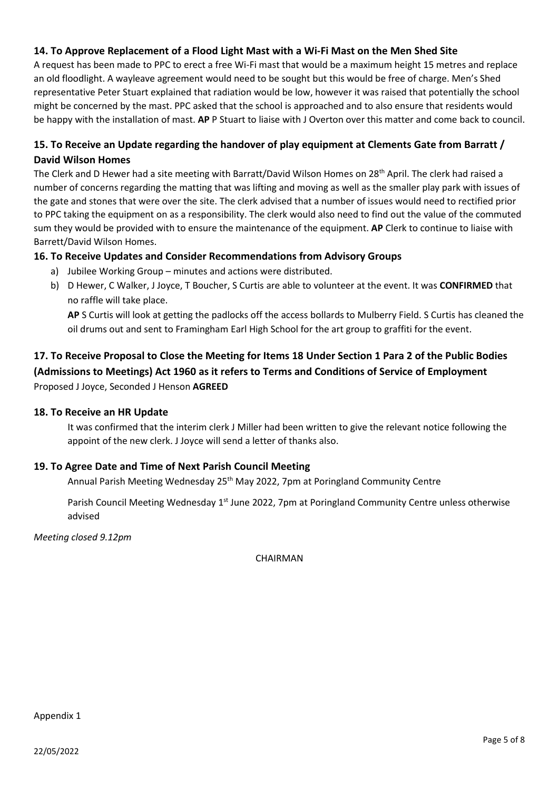### **14. To Approve Replacement of a Flood Light Mast with a Wi-Fi Mast on the Men Shed Site**

A request has been made to PPC to erect a free Wi-Fi mast that would be a maximum height 15 metres and replace an old floodlight. A wayleave agreement would need to be sought but this would be free of charge. Men's Shed representative Peter Stuart explained that radiation would be low, however it was raised that potentially the school might be concerned by the mast. PPC asked that the school is approached and to also ensure that residents would be happy with the installation of mast. **AP** P Stuart to liaise with J Overton over this matter and come back to council.

# **15. To Receive an Update regarding the handover of play equipment at Clements Gate from Barratt / David Wilson Homes**

The Clerk and D Hewer had a site meeting with Barratt/David Wilson Homes on 28th April. The clerk had raised a number of concerns regarding the matting that was lifting and moving as well as the smaller play park with issues of the gate and stones that were over the site. The clerk advised that a number of issues would need to rectified prior to PPC taking the equipment on as a responsibility. The clerk would also need to find out the value of the commuted sum they would be provided with to ensure the maintenance of the equipment. **AP** Clerk to continue to liaise with Barrett/David Wilson Homes.

#### **16. To Receive Updates and Consider Recommendations from Advisory Groups**

- a) Jubilee Working Group minutes and actions were distributed.
- b) D Hewer, C Walker, J Joyce, T Boucher, S Curtis are able to volunteer at the event. It was **CONFIRMED** that no raffle will take place.

**AP** S Curtis will look at getting the padlocks off the access bollards to Mulberry Field. S Curtis has cleaned the oil drums out and sent to Framingham Earl High School for the art group to graffiti for the event.

# **17. To Receive Proposal to Close the Meeting for Items 18 Under Section 1 Para 2 of the Public Bodies (Admissions to Meetings) Act 1960 as it refers to Terms and Conditions of Service of Employment** Proposed J Joyce, Seconded J Henson **AGREED**

#### **18. To Receive an HR Update**

It was confirmed that the interim clerk J Miller had been written to give the relevant notice following the appoint of the new clerk. J Joyce will send a letter of thanks also.

### **19. To Agree Date and Time of Next Parish Council Meeting**

Annual Parish Meeting Wednesday 25th May 2022, 7pm at Poringland Community Centre

Parish Council Meeting Wednesday 1<sup>st</sup> June 2022, 7pm at Poringland Community Centre unless otherwise advised

*Meeting closed 9.12pm*

**CHAIRMAN**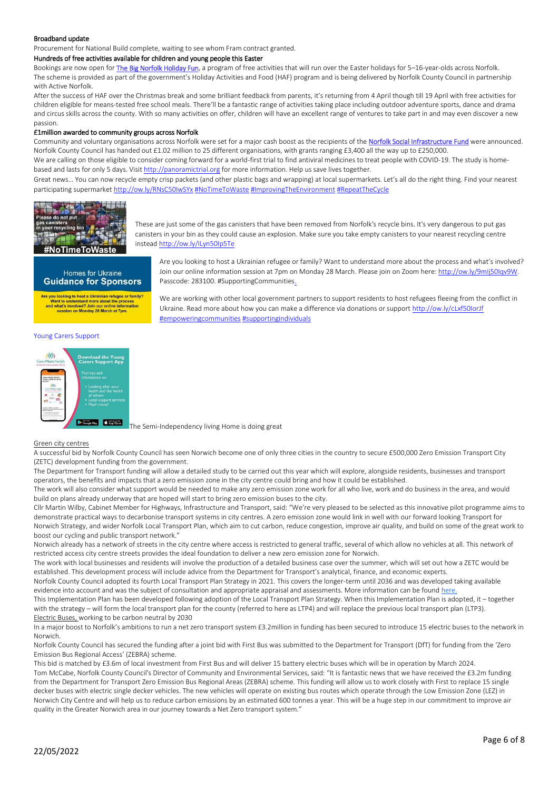#### Broadband update

Procurement for National Build complete, waiting to see whom Fram contract granted.

#### Hundreds of free activities available for children and young people this Easter

Bookings are now open for [The Big Norfolk Holiday Fun,](https://www.activenorfolk.org/public/bignorfolkholidayfun/) a program of free activities that will run over the Easter holidays for 5-16-year-olds across Norfolk. The scheme is provided as part of the government's Holiday Activities and Food (HAF) program and is being delivered by Norfolk County Council in partnership with Active Norfolk.

After the success of HAF over the Christmas break and some brilliant feedback from parents, it's returning from 4 April though till 19 April with free activities for children eligible for means-tested free school meals. There'll be a fantastic range of activities taking place including outdoor adventure sports, dance and drama and circus skills across the county. With so many activities on offer, children will have an excellent range of ventures to take part in and may even discover a new passion.

#### £1million awarded to community groups across Norfolk

Community and voluntary organisations across Norfolk were set for a major cash boost as the recipients of the [Norfolk Social Infrastructure Fund](https://www.norfolk.gov.uk/business/grants-and-funding/norfolk-social-infrastructure-fund) were announced. Norfolk County Council has handed out £1.02 million to 25 different organisations, with grants ranging £3,400 all the way up to £250,000.

We are calling on those eligible to consider coming forward for a world-first trial to find antiviral medicines to treat people with COVID-19. The study is homebased and lasts for only 5 days. Visi[t http://panoramictrial.org](https://t.co/4vUL9sbmwI) for more information. Help us save lives together.

Great news… You can now recycle empty crisp packets (and other plastic bags and wrapping) at local supermarkets. Let's all do the right thing. Find your nearest participating supermarke[t http://ow.ly/RNsC50IwSYx](https://t.co/O6eBDxOtZJ) [#NoTimeToWaste](https://mobile.twitter.com/hashtag/NoTimeToWaste?src=hashtag_click) [#ImprovingTheEnvironment](https://mobile.twitter.com/hashtag/ImprovingTheEnvironment?src=hashtag_click) [#RepeatTheCycle](https://mobile.twitter.com/hashtag/RepeatTheCycle?src=hashtag_click)



These are just some of the gas canisters that have been removed from Norfolk's recycle bins. It's very dangerous to put gas canisters in your bin as they could cause an explosion. Make sure you take empty canisters to your nearest recycling centre instea[d http://ow.ly/ILyn50Ip5Te](https://t.co/Uc6fXmy4fv)

#### Homes for Ukraine **Guidance for Sponsors**

Are you looking to host a Ukrainian refugee or family?<br>Want to understand more about the process and what's involved? Join our online infor<br>session on Monday 28 March at 7pm

Are you looking to host a Ukrainian refugee or family? Want to understand more about the process and what's involved? Join our online information session at 7pm on Monday 28 March. Please join on Zoom here[: http://ow.ly/9mIj50Iqv9W.](https://t.co/O4w0f1mHIV) Passcode: 283100. #SupportingCommunities.

We are working with other local government partners to support residents to host refugees fleeing from the conflict in Ukraine. Read more about how you can make a difference via donations or suppor[t http://ow.ly/cLxf50IorJf](https://t.co/XDDuuIRpTF) [#empoweringcommunities](https://mobile.twitter.com/hashtag/empoweringcommunities?src=hashtag_click) [#supportingindividuals](https://mobile.twitter.com/hashtag/supportingindividuals?src=hashtag_click)

#### Young Carers Support



The Semi-Independency living Home is doing great

#### Green city centres

A successful bid by Norfolk County Council has seen Norwich become one of only three cities in the country to secure £500,000 Zero Emission Transport City (ZETC) development funding from the government.

The Department for Transport funding will allow a detailed study to be carried out this year which will explore, alongside residents, businesses and transport operators, the benefits and impacts that a zero emission zone in the city centre could bring and how it could be established.

The work will also consider what support would be needed to make any zero emission zone work for all who live, work and do business in the area, and would build on plans already underway that are hoped will start to bring zero emission buses to the city.

Cllr Martin Wilby, Cabinet Member for Highways, Infrastructure and Transport, said: "We're very pleased to be selected as this innovative pilot programme aims to demonstrate practical ways to decarbonise transport systems in city centres. A zero emission zone would link in well with our forward looking Transport for Norwich Strategy, and wider Norfolk Local Transport Plan, which aim to cut carbon, reduce congestion, improve air quality, and build on some of the great work to boost our cycling and public transport network."

Norwich already has a network of streets in the city centre where access is restricted to general traffic, several of which allow no vehicles at all. This network of restricted access city centre streets provides the ideal foundation to deliver a new zero emission zone for Norwich.

The work with local businesses and residents will involve the production of a detailed business case over the summer, which will set out how a ZETC would be established. This development process will include advice from the Department for Transport's analytical, finance, and economic experts.

Norfolk County Council adopted its fourth Local Transport Plan Strategy in 2021. This covers the longer-term until 2036 and was developed taking available evidence into account and was the subject of consultation and appropriate appraisal and assessments. More information can be found [here.](https://www.norfolk.gov.uk/what-we-do-and-how-we-work/policy-performance-and-partnerships/policies-and-strategies/roads-and-travel-policies/local-transport-plan)

This Implementation Plan has been developed following adoption of the Local Transport Plan Strategy. When this Implementation Plan is adopted, it – together with the strategy – will form the local transport plan for the county (referred to here as LTP4) and will replace the previous local transport plan (LTP3). Electric Buses, working to be carbon neutral by 2030

In a major boost to Norfolk's ambitions to run a net zero transport system £3.2million in funding has been secured to introduce 15 electric buses to the network in Norwich.

Norfolk County Council has secured the funding after a joint bid with First Bus was submitted to the Department for Transport (DfT) for funding from the 'Zero Emission Bus Regional Access' (ZEBRA) scheme.

This bid is matched by £3.6m of local investment from First Bus and will deliver 15 battery electric buses which will be in operation by March 2024. Tom McCabe, Norfolk County Council's Director of Community and Environmental Services, said: "It is fantastic news that we have received the £3.2m funding from the Department for Transport Zero Emission Bus Regional Areas (ZEBRA) scheme. This funding will allow us to work closely with First to replace 15 single decker buses with electric single decker vehicles. The new vehicles will operate on existing bus routes which operate through the Low Emission Zone (LEZ) in Norwich City Centre and will help us to reduce carbon emissions by an estimated 600 tonnes a year. This will be a huge step in our commitment to improve air quality in the Greater Norwich area in our journey towards a Net Zero transport system."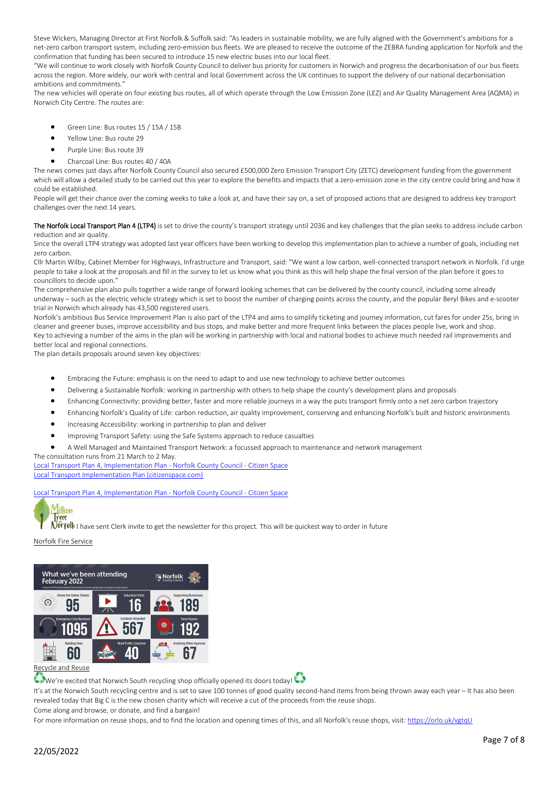Steve Wickers, Managing Director at First Norfolk & Suffolk said: "As leaders in sustainable mobility, we are fully aligned with the Government's ambitions for a net-zero carbon transport system, including zero-emission bus fleets. We are pleased to receive the outcome of the ZEBRA funding application for Norfolk and the confirmation that funding has been secured to introduce 15 new electric buses into our local fleet.

"We will continue to work closely with Norfolk County Council to deliver bus priority for customers in Norwich and progress the decarbonisation of our bus fleets across the region. More widely, our work with central and local Government across the UK continues to support the delivery of our national decarbonisation ambitions and commitments."

The new vehicles will operate on four existing bus routes, all of which operate through the Low Emission Zone (LEZ) and Air Quality Management Area (AQMA) in Norwich City Centre. The routes are:

- Green Line: Bus routes 15 / 15A / 15B
- Yellow Line: Bus route 29
- Purple Line: Bus route 39
- Charcoal Line: Bus routes 40 / 40A

The news comes just days after Norfolk County Council also secured £500,000 Zero Emission Transport City (ZETC) development funding from the government which will allow a detailed study to be carried out this year to explore the benefits and impacts that a zero-emission zone in the city centre could bring and how it could be established.

People will get their chance over the coming weeks to take a look at, and have their say on, a set of proposed actions that are designed to address key transport challenges over the next 14 years.

The Norfolk Local Transport Plan 4 (LTP4) is set to drive the county's transport strategy until 2036 and key challenges that the plan seeks to address include carbon reduction and air quality.

Since the overall LTP4 strategy was adopted last year officers have been working to develop this implementation plan to achieve a number of goals, including net zero carbon.

Cllr Martin Wilby, Cabinet Member for Highways, Infrastructure and Transport, said: "We want a low carbon, well-connected transport network in Norfolk. I'd urge people to take a look at the proposals and fill in the survey to let us know what you think as this will help shape the final version of the plan before it goes to councillors to decide upon."

The comprehensive plan also pulls together a wide range of forward looking schemes that can be delivered by the county council, including some already underway – such as the electric vehicle strategy which is set to boost the number of charging points across the county, and the popular Beryl Bikes and e-scooter trial in Norwich which already has 43,500 registered users.

Norfolk's ambitious Bus Service Improvement Plan is also part of the LTP4 and aims to simplify ticketing and journey information, cut fares for under 25s, bring in cleaner and greener buses, improve accessibility and bus stops, and make better and more frequent links between the places people live, work and shop. Key to achieving a number of the aims in the plan will be working in partnership with local and national bodies to achieve much needed rail improvements and better local and regional connections.

The plan details proposals around seven key objectives:

- Embracing the Future: emphasis is on the need to adapt to and use new technology to achieve better outcomes
- Delivering a Sustainable Norfolk: working in partnership with others to help shape the county's development plans and proposals
- Enhancing Connectivity: providing better, faster and more reliable journeys in a way the puts transport firmly onto a net zero carbon trajectory
- Enhancing Norfolk's Quality of Life: carbon reduction, air quality improvement, conserving and enhancing Norfolk's built and historic environments
- Increasing Accessibility: working in partnership to plan and deliver
- Improving Transport Safety: using the Safe Systems approach to reduce casualties
- A Well Managed and Maintained Transport Network: a focussed approach to maintenance and network management

The consultation runs from 21 March to 2 May. [Local Transport Plan 4, Implementation Plan -](https://norfolk.citizenspace.com/consultation/local-transport-implementation-plan-4/) Norfolk County Council - Citizen Space [Local Transport Implementation Plan \(citizenspace.com\)](https://norfolk.citizenspace.com/consultation/local-transport-implementation-plan-4/supporting_documents/Local%20Transport%20Implementation%20Plan%20%20FULL.pdf)

[Local Transport Plan 4, Implementation Plan -](https://norfolk.citizenspace.com/consultation/local-transport-implementation-plan-4/) Norfolk County Council - Citizen Space



Norfolk I have sent Clerk invite to get the newsletter for this project. This will be quickest way to order in future

Norfolk Fire Service



We're excited that Norwich South recycling shop officially opened its doors today!

It's at the Norwich South recycling centre and is set to save 100 tonnes of good quality second-hand items from being thrown away each year – It has also been revealed today that Big C is the new chosen charity which will receive a cut of the proceeds from the reuse shops.

Come along and browse, or donate, and find a bargain!

For more information on reuse shops, and to find the location and opening times of this, and all Norfolk's reuse shops, visit[: https://orlo.uk/vgtqU](https://orlo.uk/vgtqU?fbclid=IwAR1LEFNv9wlGG1gM_XyUkZt_Q1qbHjORXvfWlc2P7m0sUI5s22pWF2PHI6E)